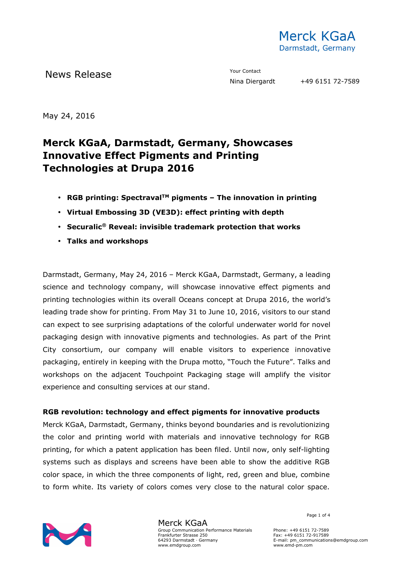

News Release The Contact Terms of the Mean of the Mean of the Vour Contact

May 24, 2016

# **Merck KGaA, Darmstadt, Germany, Showcases Innovative Effect Pigments and Printing Technologies at Drupa 2016**

- **RGB printing: SpectravalTM pigments The innovation in printing**
- **Virtual Embossing 3D (VE3D): effect printing with depth**
- **Securalic® Reveal: invisible trademark protection that works**
- **Talks and workshops**

Darmstadt, Germany, May 24, 2016 – Merck KGaA, Darmstadt, Germany, a leading science and technology company, will showcase innovative effect pigments and printing technologies within its overall Oceans concept at Drupa 2016, the world's leading trade show for printing. From May 31 to June 10, 2016, visitors to our stand can expect to see surprising adaptations of the colorful underwater world for novel packaging design with innovative pigments and technologies. As part of the Print City consortium, our company will enable visitors to experience innovative packaging, entirely in keeping with the Drupa motto, "Touch the Future". Talks and workshops on the adjacent Touchpoint Packaging stage will amplify the visitor experience and consulting services at our stand.

### **RGB revolution: technology and effect pigments for innovative products**

Merck KGaA, Darmstadt, Germany, thinks beyond boundaries and is revolutionizing the color and printing world with materials and innovative technology for RGB printing, for which a patent application has been filed. Until now, only self-lighting systems such as displays and screens have been able to show the additive RGB color space, in which the three components of light, red, green and blue, combine to form white. Its variety of colors comes very close to the natural color space.



Merck KGaA Group Communication Performance Materials Frankfurter Strasse 250 64293 Darmstadt · Germany www.emdgroup.com

Page 1 of 4

Phone: +49 6151 72-7589 Fax: +49 6151 72-917589 E-mail: pm\_communications@emdgroup.com www.emd-pm.com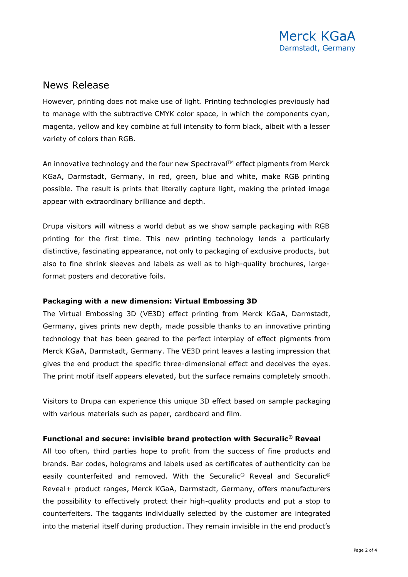## News Release

However, printing does not make use of light. Printing technologies previously had to manage with the subtractive CMYK color space, in which the components cyan, magenta, yellow and key combine at full intensity to form black, albeit with a lesser variety of colors than RGB.

An innovative technology and the four new Spectraval™ effect pigments from Merck KGaA, Darmstadt, Germany, in red, green, blue and white, make RGB printing possible. The result is prints that literally capture light, making the printed image appear with extraordinary brilliance and depth.

Drupa visitors will witness a world debut as we show sample packaging with RGB printing for the first time. This new printing technology lends a particularly distinctive, fascinating appearance, not only to packaging of exclusive products, but also to fine shrink sleeves and labels as well as to high-quality brochures, largeformat posters and decorative foils.

### **Packaging with a new dimension: Virtual Embossing 3D**

The Virtual Embossing 3D (VE3D) effect printing from Merck KGaA, Darmstadt, Germany, gives prints new depth, made possible thanks to an innovative printing technology that has been geared to the perfect interplay of effect pigments from Merck KGaA, Darmstadt, Germany. The VE3D print leaves a lasting impression that gives the end product the specific three-dimensional effect and deceives the eyes. The print motif itself appears elevated, but the surface remains completely smooth.

Visitors to Drupa can experience this unique 3D effect based on sample packaging with various materials such as paper, cardboard and film.

### **Functional and secure: invisible brand protection with Securalic® Reveal**

All too often, third parties hope to profit from the success of fine products and brands. Bar codes, holograms and labels used as certificates of authenticity can be easily counterfeited and removed. With the Securalic<sup>®</sup> Reveal and Securalic<sup>®</sup> Reveal+ product ranges, Merck KGaA, Darmstadt, Germany, offers manufacturers the possibility to effectively protect their high-quality products and put a stop to counterfeiters. The taggants individually selected by the customer are integrated into the material itself during production. They remain invisible in the end product's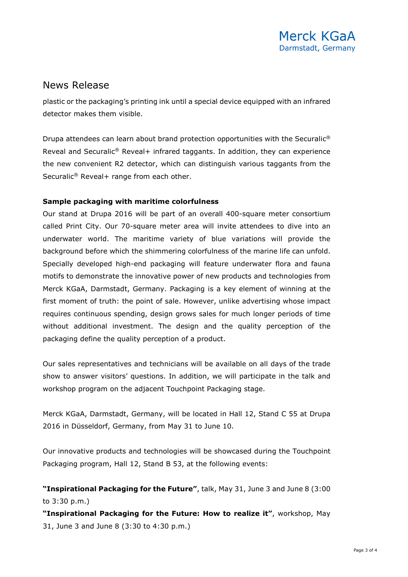## News Release

plastic or the packaging's printing ink until a special device equipped with an infrared detector makes them visible.

Drupa attendees can learn about brand protection opportunities with the Securalic® Reveal and Securalic® Reveal+ infrared taggants. In addition, they can experience the new convenient R2 detector, which can distinguish various taggants from the Securalic® Reveal+ range from each other.

### **Sample packaging with maritime colorfulness**

Our stand at Drupa 2016 will be part of an overall 400-square meter consortium called Print City. Our 70-square meter area will invite attendees to dive into an underwater world. The maritime variety of blue variations will provide the background before which the shimmering colorfulness of the marine life can unfold. Specially developed high-end packaging will feature underwater flora and fauna motifs to demonstrate the innovative power of new products and technologies from Merck KGaA, Darmstadt, Germany. Packaging is a key element of winning at the first moment of truth: the point of sale. However, unlike advertising whose impact requires continuous spending, design grows sales for much longer periods of time without additional investment. The design and the quality perception of the packaging define the quality perception of a product.

Our sales representatives and technicians will be available on all days of the trade show to answer visitors' questions. In addition, we will participate in the talk and workshop program on the adjacent Touchpoint Packaging stage.

Merck KGaA, Darmstadt, Germany, will be located in Hall 12, Stand C 55 at Drupa 2016 in Düsseldorf, Germany, from May 31 to June 10.

Our innovative products and technologies will be showcased during the Touchpoint Packaging program, Hall 12, Stand B 53, at the following events:

**"Inspirational Packaging for the Future"**, talk, May 31, June 3 and June 8 (3:00 to 3:30 p.m.)

**"Inspirational Packaging for the Future: How to realize it"**, workshop, May 31, June 3 and June 8 (3:30 to 4:30 p.m.)